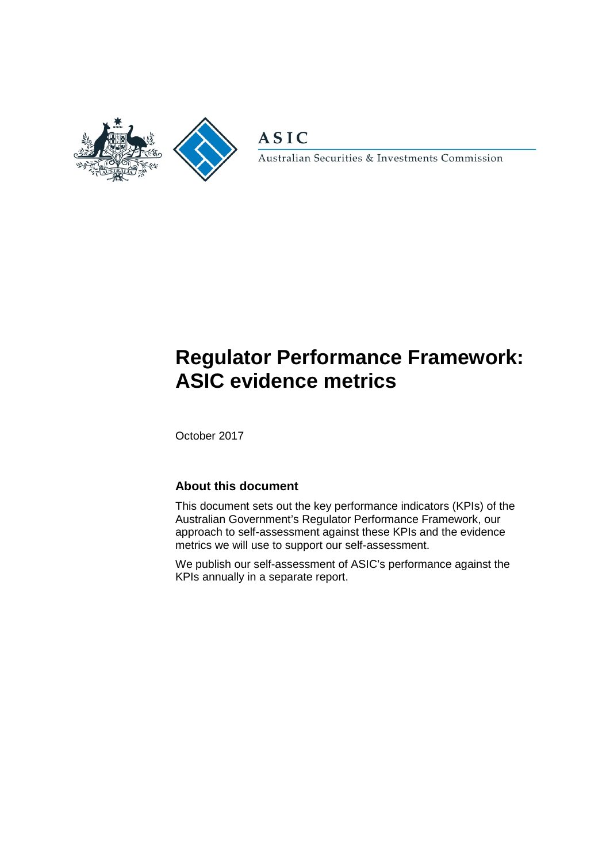

**ASIC** 

Australian Securities & Investments Commission

# **Regulator Performance Framework: ASIC evidence metrics**

October 2017

#### **About this document**

This document sets out the key performance indicators (KPIs) of the Australian Government's Regulator Performance Framework, our approach to self-assessment against these KPIs and the evidence metrics we will use to support our self-assessment.

We publish our self-assessment of ASIC's performance against the KPIs annually in a separate report.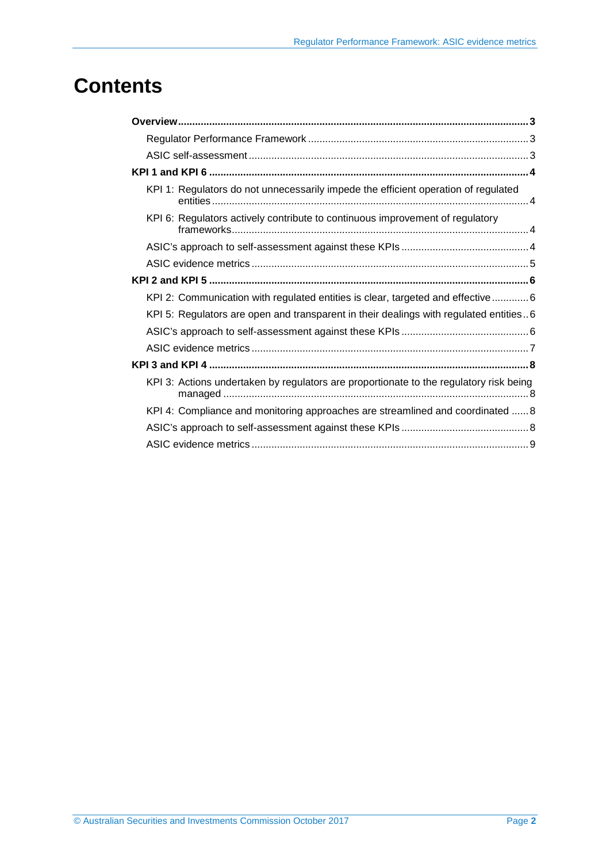# **Contents**

| KPI 1: Regulators do not unnecessarily impede the efficient operation of regulated     |  |
|----------------------------------------------------------------------------------------|--|
| KPI 6: Regulators actively contribute to continuous improvement of regulatory          |  |
|                                                                                        |  |
|                                                                                        |  |
|                                                                                        |  |
| KPI 2: Communication with regulated entities is clear, targeted and effective 6        |  |
| KPI 5: Regulators are open and transparent in their dealings with regulated entities6  |  |
|                                                                                        |  |
|                                                                                        |  |
|                                                                                        |  |
| KPI 3: Actions undertaken by regulators are proportionate to the regulatory risk being |  |
| KPI 4: Compliance and monitoring approaches are streamlined and coordinated  8         |  |
|                                                                                        |  |
|                                                                                        |  |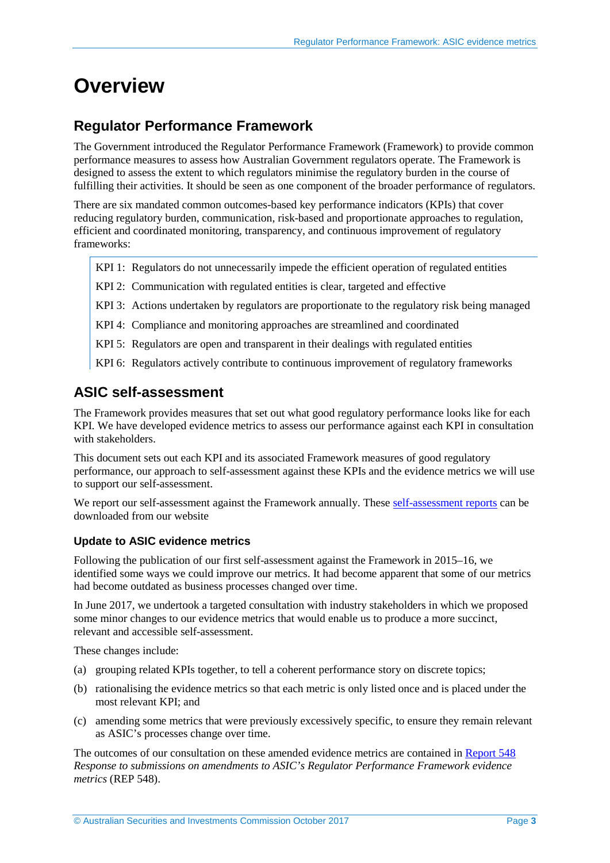## <span id="page-2-0"></span>**Overview**

## <span id="page-2-1"></span>**Regulator Performance Framework**

The Government introduced the Regulator Performance Framework (Framework) to provide common performance measures to assess how Australian Government regulators operate. The Framework is designed to assess the extent to which regulators minimise the regulatory burden in the course of fulfilling their activities. It should be seen as one component of the broader performance of regulators.

There are six mandated common outcomes-based key performance indicators (KPIs) that cover reducing regulatory burden, communication, risk-based and proportionate approaches to regulation, efficient and coordinated monitoring, transparency, and continuous improvement of regulatory frameworks:

- KPI 1: Regulators do not unnecessarily impede the efficient operation of regulated entities
- KPI 2: Communication with regulated entities is clear, targeted and effective
- KPI 3: Actions undertaken by regulators are proportionate to the regulatory risk being managed
- KPI 4: Compliance and monitoring approaches are streamlined and coordinated
- KPI 5: Regulators are open and transparent in their dealings with regulated entities
- KPI 6: Regulators actively contribute to continuous improvement of regulatory frameworks

### <span id="page-2-2"></span>**ASIC self-assessment**

The Framework provides measures that set out what good regulatory performance looks like for each KPI. We have developed evidence metrics to assess our performance against each KPI in consultation with stakeholders.

This document sets out each KPI and its associated Framework measures of good regulatory performance, our approach to self-assessment against these KPIs and the evidence metrics we will use to support our self-assessment.

We report our self-assessment against the Framework annually. These [self-assessment reports](http://asic.gov.au/about-asic/what-we-do/how-we-operate/performance-and-review/regulator-performance-framework/) can be downloaded from our website

#### **Update to ASIC evidence metrics**

Following the publication of our first self-assessment against the Framework in 2015–16, we identified some ways we could improve our metrics. It had become apparent that some of our metrics had become outdated as business processes changed over time.

In June 2017, we undertook a targeted consultation with industry stakeholders in which we proposed some minor changes to our evidence metrics that would enable us to produce a more succinct, relevant and accessible self-assessment.

These changes include:

- (a) grouping related KPIs together, to tell a coherent performance story on discrete topics;
- (b) rationalising the evidence metrics so that each metric is only listed once and is placed under the most relevant KPI; and
- (c) amending some metrics that were previously excessively specific, to ensure they remain relevant as ASIC's processes change over time.

The outcomes of our consultation on these amended evidence metrics are contained in [Report 548](http://www.asic.gov.au/regulatory-resources/find-a-document/reports/rep-548-response-to-submissions-on-amendments-to-asics-regulator-performance-framework-evidence-metrics/) *Response to submissions on amendments to ASIC's Regulator Performance Framework evidence metrics* (REP 548).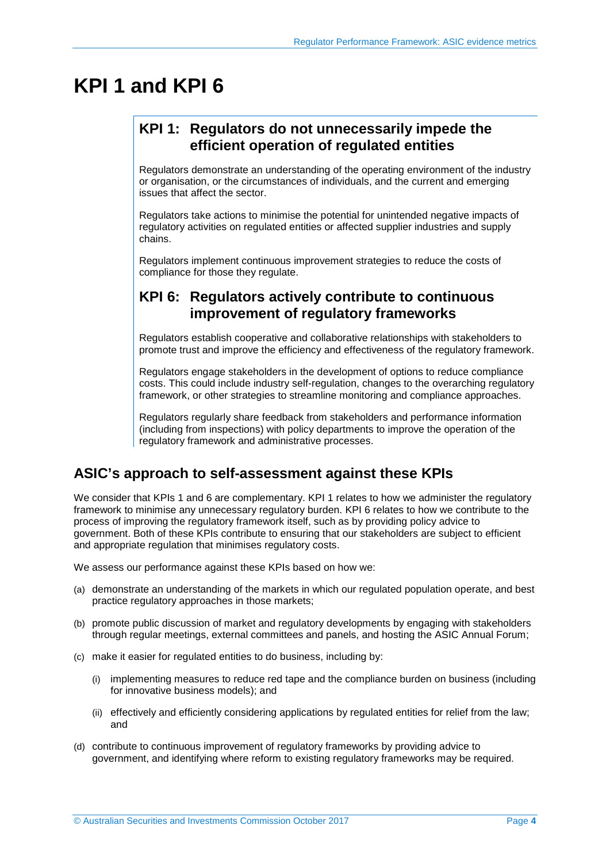## <span id="page-3-1"></span><span id="page-3-0"></span>**KPI 1 and KPI 6**

## **KPI 1: Regulators do not unnecessarily impede the efficient operation of regulated entities**

Regulators demonstrate an understanding of the operating environment of the industry or organisation, or the circumstances of individuals, and the current and emerging issues that affect the sector.

Regulators take actions to minimise the potential for unintended negative impacts of regulatory activities on regulated entities or affected supplier industries and supply chains.

Regulators implement continuous improvement strategies to reduce the costs of compliance for those they regulate.

## <span id="page-3-2"></span>**KPI 6: Regulators actively contribute to continuous improvement of regulatory frameworks**

Regulators establish cooperative and collaborative relationships with stakeholders to promote trust and improve the efficiency and effectiveness of the regulatory framework.

Regulators engage stakeholders in the development of options to reduce compliance costs. This could include industry self-regulation, changes to the overarching regulatory framework, or other strategies to streamline monitoring and compliance approaches.

Regulators regularly share feedback from stakeholders and performance information (including from inspections) with policy departments to improve the operation of the regulatory framework and administrative processes.

### <span id="page-3-3"></span>**ASIC's approach to self-assessment against these KPIs**

We consider that KPIs 1 and 6 are complementary. KPI 1 relates to how we administer the regulatory framework to minimise any unnecessary regulatory burden. KPI 6 relates to how we contribute to the process of improving the regulatory framework itself, such as by providing policy advice to government. Both of these KPIs contribute to ensuring that our stakeholders are subject to efficient and appropriate regulation that minimises regulatory costs.

We assess our performance against these KPIs based on how we:

- (a) demonstrate an understanding of the markets in which our regulated population operate, and best practice regulatory approaches in those markets;
- (b) promote public discussion of market and regulatory developments by engaging with stakeholders through regular meetings, external committees and panels, and hosting the ASIC Annual Forum;
- (c) make it easier for regulated entities to do business, including by:
	- (i) implementing measures to reduce red tape and the compliance burden on business (including for innovative business models); and
	- (ii) effectively and efficiently considering applications by regulated entities for relief from the law; and
- (d) contribute to continuous improvement of regulatory frameworks by providing advice to government, and identifying where reform to existing regulatory frameworks may be required.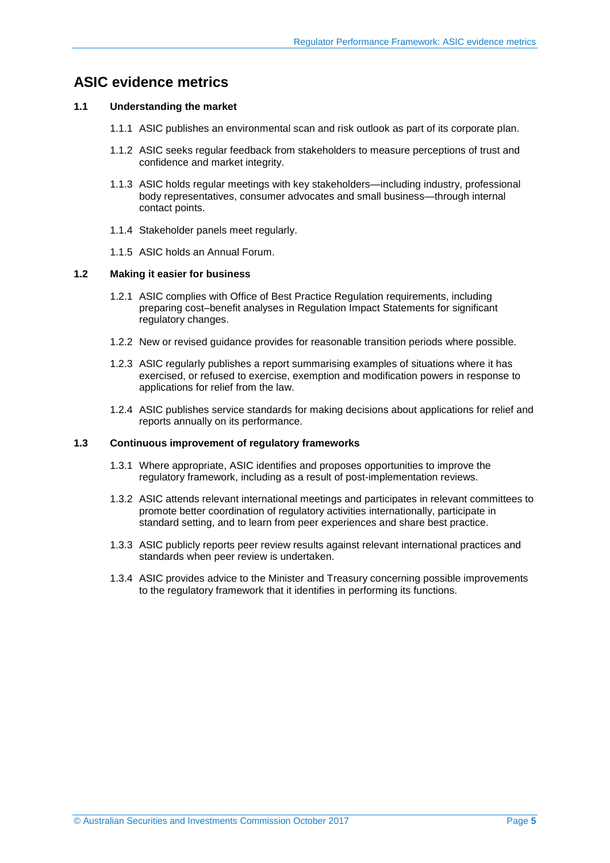## <span id="page-4-0"></span>**ASIC evidence metrics**

#### **1.1 Understanding the market**

- 1.1.1 ASIC publishes an environmental scan and risk outlook as part of its corporate plan.
- 1.1.2 ASIC seeks regular feedback from stakeholders to measure perceptions of trust and confidence and market integrity.
- 1.1.3 ASIC holds regular meetings with key stakeholders—including industry, professional body representatives, consumer advocates and small business—through internal contact points.
- 1.1.4 Stakeholder panels meet regularly.
- 1.1.5 ASIC holds an Annual Forum.

#### **1.2 Making it easier for business**

- 1.2.1 ASIC complies with Office of Best Practice Regulation requirements, including preparing cost–benefit analyses in Regulation Impact Statements for significant regulatory changes.
- 1.2.2 New or revised guidance provides for reasonable transition periods where possible.
- 1.2.3 ASIC regularly publishes a report summarising examples of situations where it has exercised, or refused to exercise, exemption and modification powers in response to applications for relief from the law.
- 1.2.4 ASIC publishes service standards for making decisions about applications for relief and reports annually on its performance.

#### **1.3 Continuous improvement of regulatory frameworks**

- 1.3.1 Where appropriate, ASIC identifies and proposes opportunities to improve the regulatory framework, including as a result of post-implementation reviews.
- 1.3.2 ASIC attends relevant international meetings and participates in relevant committees to promote better coordination of regulatory activities internationally, participate in standard setting, and to learn from peer experiences and share best practice.
- 1.3.3 ASIC publicly reports peer review results against relevant international practices and standards when peer review is undertaken.
- 1.3.4 ASIC provides advice to the Minister and Treasury concerning possible improvements to the regulatory framework that it identifies in performing its functions.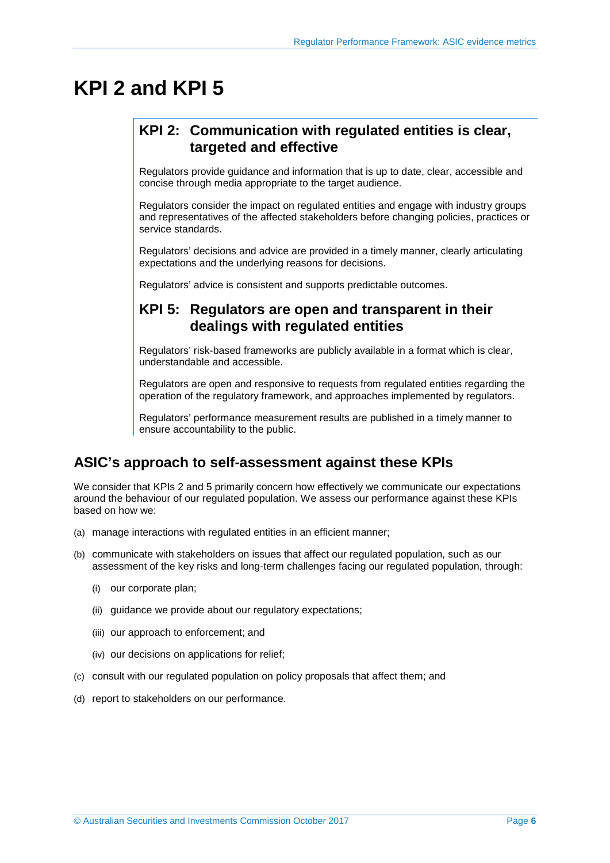## <span id="page-5-1"></span><span id="page-5-0"></span>**KPI 2 and KPI 5**

### **KPI 2: Communication with regulated entities is clear, targeted and effective**

Regulators provide guidance and information that is up to date, clear, accessible and concise through media appropriate to the target audience.

Regulators consider the impact on regulated entities and engage with industry groups and representatives of the affected stakeholders before changing policies, practices or service standards.

Regulators' decisions and advice are provided in a timely manner, clearly articulating expectations and the underlying reasons for decisions.

<span id="page-5-2"></span>Regulators' advice is consistent and supports predictable outcomes.

### **KPI 5: Regulators are open and transparent in their dealings with regulated entities**

Regulators' risk-based frameworks are publicly available in a format which is clear, understandable and accessible.

Regulators are open and responsive to requests from regulated entities regarding the operation of the regulatory framework, and approaches implemented by regulators.

Regulators' performance measurement results are published in a timely manner to ensure accountability to the public.

## <span id="page-5-3"></span>**ASIC's approach to self-assessment against these KPIs**

We consider that KPIs 2 and 5 primarily concern how effectively we communicate our expectations around the behaviour of our regulated population. We assess our performance against these KPIs based on how we:

- (a) manage interactions with regulated entities in an efficient manner;
- (b) communicate with stakeholders on issues that affect our regulated population, such as our assessment of the key risks and long-term challenges facing our regulated population, through:
	- (i) our corporate plan;
	- (ii) guidance we provide about our regulatory expectations;
	- (iii) our approach to enforcement; and
	- (iv) our decisions on applications for relief;
- (c) consult with our regulated population on policy proposals that affect them; and
- (d) report to stakeholders on our performance.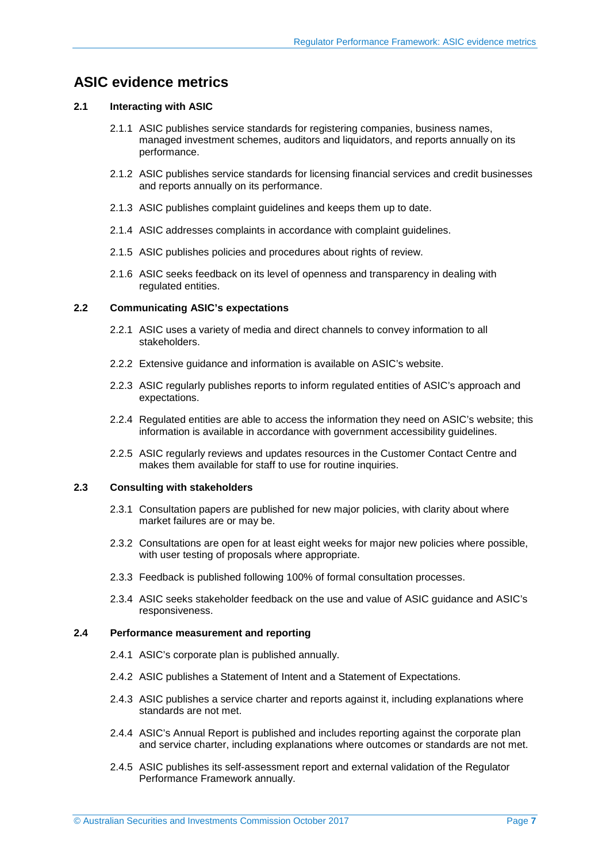### <span id="page-6-0"></span>**ASIC evidence metrics**

#### **2.1 Interacting with ASIC**

- 2.1.1 ASIC publishes service standards for registering companies, business names, managed investment schemes, auditors and liquidators, and reports annually on its performance.
- 2.1.2 ASIC publishes service standards for licensing financial services and credit businesses and reports annually on its performance.
- 2.1.3 ASIC publishes complaint guidelines and keeps them up to date.
- 2.1.4 ASIC addresses complaints in accordance with complaint guidelines.
- 2.1.5 ASIC publishes policies and procedures about rights of review.
- 2.1.6 ASIC seeks feedback on its level of openness and transparency in dealing with regulated entities.

#### **2.2 Communicating ASIC's expectations**

- 2.2.1 ASIC uses a variety of media and direct channels to convey information to all stakeholders.
- 2.2.2 Extensive guidance and information is available on ASIC's website.
- 2.2.3 ASIC regularly publishes reports to inform regulated entities of ASIC's approach and expectations.
- 2.2.4 Regulated entities are able to access the information they need on ASIC's website; this information is available in accordance with government accessibility guidelines.
- 2.2.5 ASIC regularly reviews and updates resources in the Customer Contact Centre and makes them available for staff to use for routine inquiries.

#### **2.3 Consulting with stakeholders**

- 2.3.1 Consultation papers are published for new major policies, with clarity about where market failures are or may be.
- 2.3.2 Consultations are open for at least eight weeks for major new policies where possible, with user testing of proposals where appropriate.
- 2.3.3 Feedback is published following 100% of formal consultation processes.
- 2.3.4 ASIC seeks stakeholder feedback on the use and value of ASIC guidance and ASIC's responsiveness.

#### **2.4 Performance measurement and reporting**

- 2.4.1 ASIC's corporate plan is published annually.
- 2.4.2 ASIC publishes a Statement of Intent and a Statement of Expectations.
- 2.4.3 ASIC publishes a service charter and reports against it, including explanations where standards are not met.
- 2.4.4 ASIC's Annual Report is published and includes reporting against the corporate plan and service charter, including explanations where outcomes or standards are not met.
- 2.4.5 ASIC publishes its self-assessment report and external validation of the Regulator Performance Framework annually.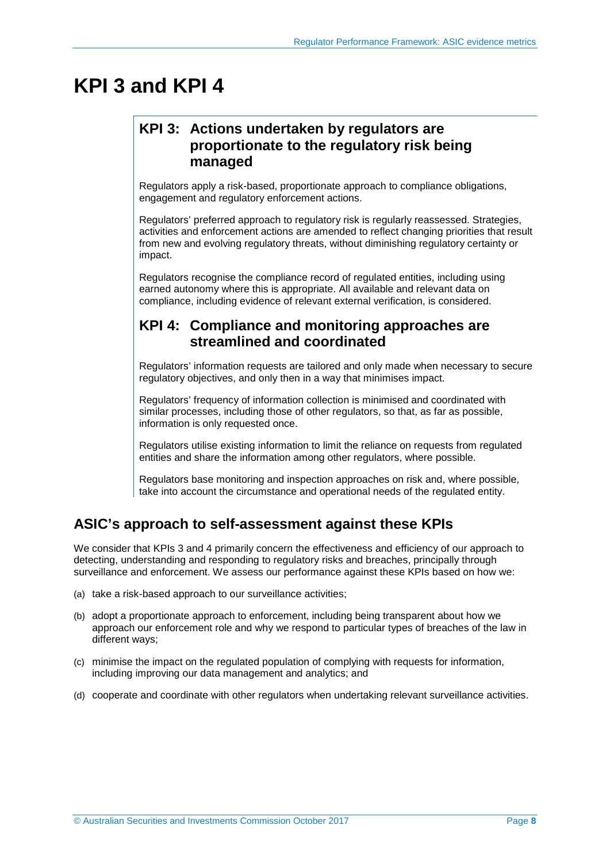## <span id="page-7-1"></span><span id="page-7-0"></span>**KPI 3 and KPI 4**

## **KPI 3: Actions undertaken by regulators are proportionate to the regulatory risk being managed**

Regulators apply a risk-based, proportionate approach to compliance obligations, engagement and regulatory enforcement actions.

Regulators' preferred approach to regulatory risk is regularly reassessed. Strategies, activities and enforcement actions are amended to reflect changing priorities that result from new and evolving regulatory threats, without diminishing regulatory certainty or impact.

Regulators recognise the compliance record of regulated entities, including using earned autonomy where this is appropriate. All available and relevant data on compliance, including evidence of relevant external verification, is considered.

### <span id="page-7-2"></span>**KPI 4: Compliance and monitoring approaches are streamlined and coordinated**

Regulators' information requests are tailored and only made when necessary to secure regulatory objectives, and only then in a way that minimises impact.

Regulators' frequency of information collection is minimised and coordinated with similar processes, including those of other regulators, so that, as far as possible, information is only requested once.

Regulators utilise existing information to limit the reliance on requests from regulated entities and share the information among other regulators, where possible.

Regulators base monitoring and inspection approaches on risk and, where possible, take into account the circumstance and operational needs of the regulated entity.

## <span id="page-7-3"></span>**ASIC's approach to self-assessment against these KPIs**

We consider that KPIs 3 and 4 primarily concern the effectiveness and efficiency of our approach to detecting, understanding and responding to regulatory risks and breaches, principally through surveillance and enforcement. We assess our performance against these KPIs based on how we:

- (a) take a risk-based approach to our surveillance activities;
- (b) adopt a proportionate approach to enforcement, including being transparent about how we approach our enforcement role and why we respond to particular types of breaches of the law in different ways;
- (c) minimise the impact on the regulated population of complying with requests for information, including improving our data management and analytics; and
- (d) cooperate and coordinate with other regulators when undertaking relevant surveillance activities.